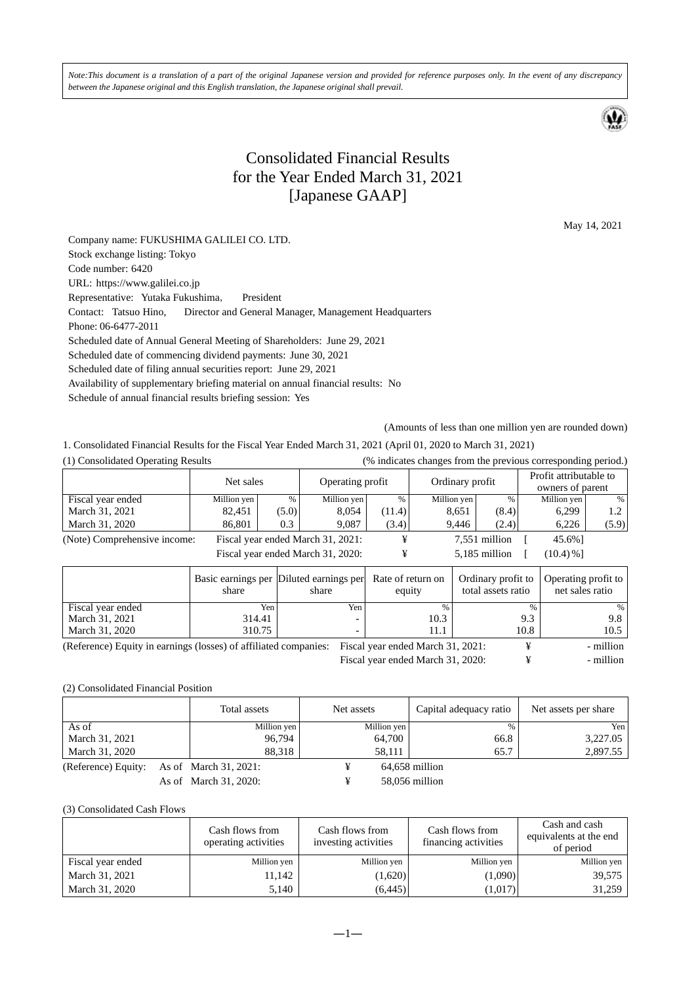*Note:This document is a translation of a part of the original Japanese version and provided for reference purposes only. In the event of any discrepancy between the Japanese original and this English translation, the Japanese original shall prevail.* 

## Consolidated Financial Results for the Year Ended March 31, 2021 [Japanese GAAP]

May 14, 2021

Company name: FUKUSHIMA GALILEI CO. LTD. Stock exchange listing: Tokyo Code number: 6420 URL: https://www.galilei.co.jp Representative: Yutaka Fukushima, President Contact: Tatsuo Hino, Director and General Manager, Management Headquarters Phone: 06-6477-2011 Scheduled date of Annual General Meeting of Shareholders: June 29, 2021 Scheduled date of commencing dividend payments: June 30, 2021 Scheduled date of filing annual securities report: June 29, 2021 Availability of supplementary briefing material on annual financial results: No Schedule of annual financial results briefing session: Yes

(Amounts of less than one million yen are rounded down)

1. Consolidated Financial Results for the Fiscal Year Ended March 31, 2021 (April 01, 2020 to March 31, 2021)

|  | (1) Consolidated Operating Results |  |
|--|------------------------------------|--|

(1) Consolidated Operating Results (% indicates changes from the previous corresponding period.)

|                              | Net sales   |       | Operating profit                  |        | Ordinary profit |               | Profit attributable to<br>owners of parent |       |
|------------------------------|-------------|-------|-----------------------------------|--------|-----------------|---------------|--------------------------------------------|-------|
| Fiscal year ended            | Million yen | %     | Million yen                       | $\%$   | Million yen     | $\%$          | Million yen                                | %     |
| March 31, 2021               | 82,451      | (5.0) | 8,054                             | (11.4) | 8,651           | (8.4)         | 6,299                                      | 1.2   |
| March 31, 2020               | 86,801      | 0.3   | 9,087                             | (3.4)  | 9,446           | (2.4)         | 6,226                                      | (5.9) |
| (Note) Comprehensive income: |             |       | Fiscal year ended March 31, 2021: |        |                 | 7,551 million | 45.6%]                                     |       |
|                              |             |       | Fiscal year ended March 31, 2020: |        |                 | 5.185 million | $(10.4) \%$ ]                              |       |

|                                                                 | share  | Basic earnings per Diluted earnings per<br>share | Rate of return on<br>equity       | Ordinary profit to<br>total assets ratio | Operating profit to<br>net sales ratio |
|-----------------------------------------------------------------|--------|--------------------------------------------------|-----------------------------------|------------------------------------------|----------------------------------------|
| Fiscal year ended                                               | Yen    | Yen                                              | $\%$                              | $\%$                                     |                                        |
| March 31, 2021                                                  | 314.41 |                                                  | 10.3                              | 9.3                                      | 9.8                                    |
| March 31, 2020                                                  | 310.75 |                                                  | 11.1                              | 10.8                                     | 10.5                                   |
| (Deference) Equity in earnings (losses) of affiliated companies |        |                                                  | Eiseal your anded March 21, 2021. |                                          | million                                |

(Reference) Equity in earnings (losses) of affiliated companies: Fiscal year ended March 31, 2021:  $\qquad$  +  $\qquad$  - million Fiscal year ended March 31, 2020: ¥ - million

#### (2) Consolidated Financial Position

|                     | Total assets          | Net assets |             | Capital adequacy ratio | Net assets per share |
|---------------------|-----------------------|------------|-------------|------------------------|----------------------|
| As of               | Million yen           |            | Million yen | $\%$                   | Yen l                |
| March 31, 2021      | 96.794                |            | 64,700      | 66.8                   | 3,227.05             |
| March 31, 2020      | 88.318                |            | 58.111      | 65.7                   | 2,897.55             |
| (Reference) Equity: | As of March 31, 2021: |            |             | 64,658 million         |                      |
|                     | As of March 31, 2020: |            |             | 58,056 million         |                      |

#### (3) Consolidated Cash Flows

|                   | Cash flows from<br>operating activities | Cash flows from<br>investing activities | Cash flows from<br>financing activities | Cash and cash<br>equivalents at the end<br>of period |
|-------------------|-----------------------------------------|-----------------------------------------|-----------------------------------------|------------------------------------------------------|
| Fiscal year ended | Million yen                             | Million yen                             | Million yen                             | Million yen                                          |
| March 31, 2021    | 11.142                                  | (1,620)                                 | (1,090)                                 | 39,575                                               |
| March 31, 2020    | 5,140                                   | (6, 445)                                | (1,017)                                 | 31,259                                               |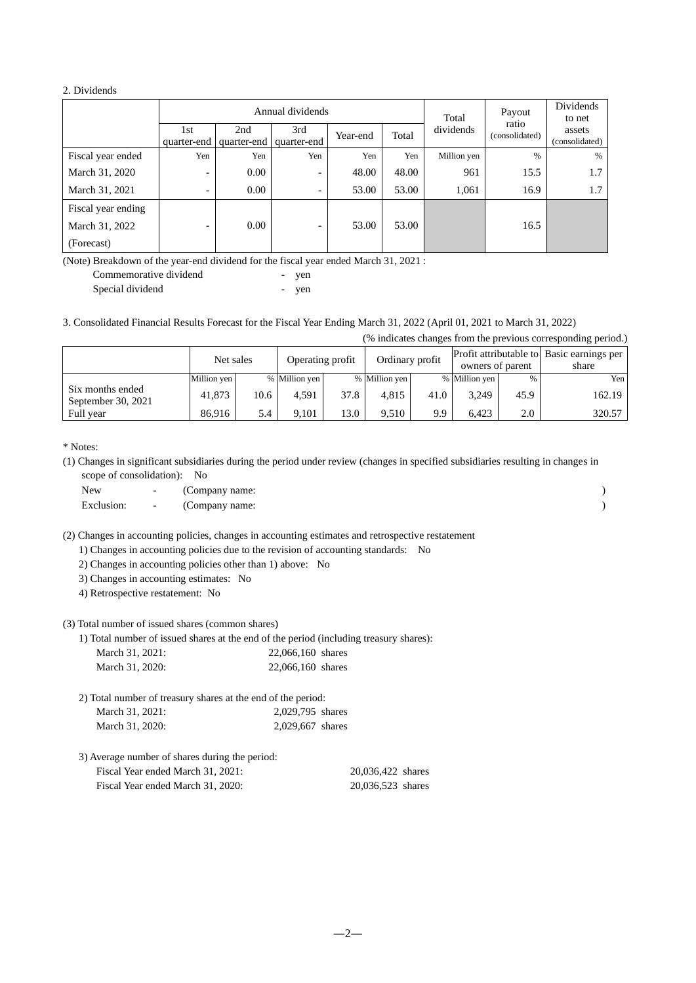#### 2. Dividends

|                    |                          | Annual dividends   |                          |          |       |             | Payout                  | Dividends<br>to net      |
|--------------------|--------------------------|--------------------|--------------------------|----------|-------|-------------|-------------------------|--------------------------|
|                    | 1st<br>quarter-end       | 2nd<br>quarter-end | 3rd<br>quarter-end       | Year-end | Total | dividends   | ratio<br>(consolidated) | assets<br>(consolidated) |
| Fiscal year ended  | Yen                      | Yen                | Yen                      | Yen      | Yen   | Million yen | $\%$                    | %                        |
| March 31, 2020     | -                        | 0.00               | $\overline{\phantom{0}}$ | 48.00    | 48.00 | 961         | 15.5                    | 1.7                      |
| March 31, 2021     | -                        | 0.00               | $\overline{\phantom{a}}$ | 53.00    | 53.00 | 1,061       | 16.9                    | 1.7                      |
| Fiscal year ending |                          |                    |                          |          |       |             |                         |                          |
| March 31, 2022     | $\overline{\phantom{0}}$ | 0.00               | $\overline{\phantom{0}}$ | 53.00    | 53.00 |             | 16.5                    |                          |
| (Forecast)         |                          |                    |                          |          |       |             |                         |                          |

(Note) Breakdown of the year-end dividend for the fiscal year ended March 31, 2021 :

| Commemorative dividend | ven |
|------------------------|-----|
| Special dividend       | ven |

3. Consolidated Financial Results Forecast for the Fiscal Year Ending March 31, 2022 (April 01, 2021 to March 31, 2022)

|                                        |             |      |                  |      |                 |      |                                                               |      | (% indicates changes from the previous corresponding period.) |
|----------------------------------------|-------------|------|------------------|------|-----------------|------|---------------------------------------------------------------|------|---------------------------------------------------------------|
|                                        | Net sales   |      | Operating profit |      | Ordinary profit |      | Profit attributable to Basic earnings per<br>owners of parent |      | share                                                         |
|                                        | Million yen |      | % Million yen    |      | % Million yen   |      | % Million yen                                                 | %    | Yen                                                           |
| Six months ended<br>September 30, 2021 | 41,873      | 10.6 | 4.591            | 37.8 | 4.815           | 41.0 | 3,249                                                         | 45.9 | 162.19                                                        |
| Full year                              | 86.916      | 5.4  | 9.101            | 13.0 | 9.510           | 9.9  | 6.423                                                         | 2.0  | 320.57                                                        |

\* Notes:

(1) Changes in significant subsidiaries during the period under review (changes in specified subsidiaries resulting in changes in scope of consolidation): No

| New | $\sim$ | (Company name:              |  |
|-----|--------|-----------------------------|--|
|     |        | Exclusion: - (Company name: |  |

(2) Changes in accounting policies, changes in accounting estimates and retrospective restatement

1) Changes in accounting policies due to the revision of accounting standards: No

- 2) Changes in accounting policies other than 1) above: No
- 3) Changes in accounting estimates: No

4) Retrospective restatement: No

### (3) Total number of issued shares (common shares)

1) Total number of issued shares at the end of the period (including treasury shares):

| March 31, 2021: | 22,066,160 shares |
|-----------------|-------------------|
| March 31, 2020: | 22,066,160 shares |

| 2) Total number of treasury shares at the end of the period: |                  |
|--------------------------------------------------------------|------------------|
| March 31, 2021:                                              | 2,029,795 shares |
| March 31, 2020:                                              | 2,029,667 shares |

| 3) Average number of shares during the period: |                   |
|------------------------------------------------|-------------------|
| Fiscal Year ended March 31, 2021:              | 20.036.422 shares |
| Fiscal Year ended March 31, 2020:              | 20.036.523 shares |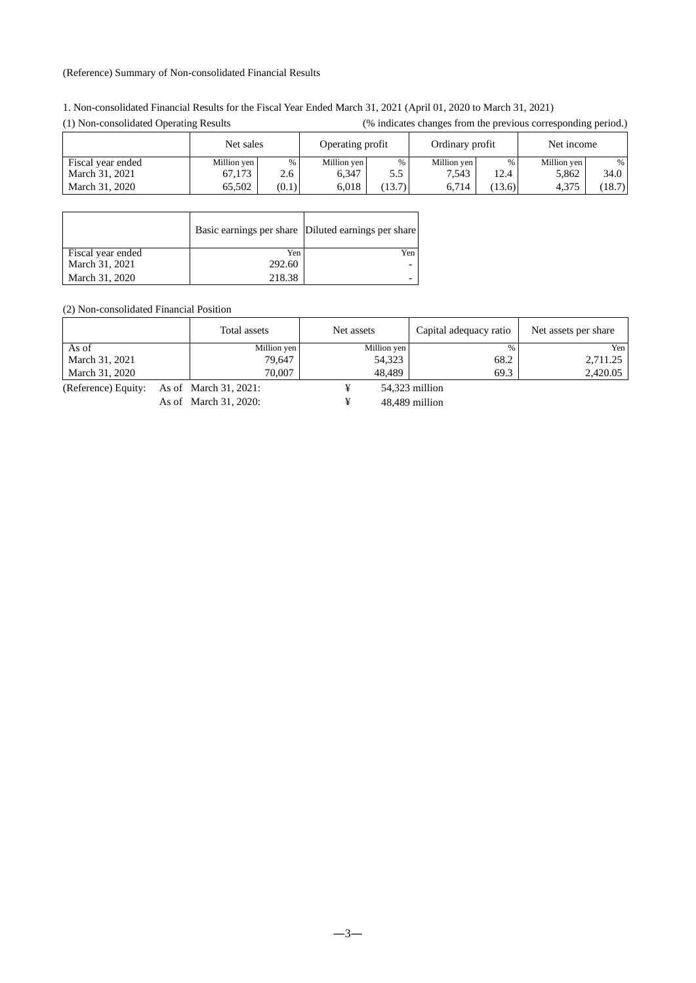### (Reference) Summary of Non-consolidated Financial Results

| 1. Non-consolidated Financial Results for the Fiscal Year Ended March 31, 2021 (April 01, 2020 to March 31, 2021) |  |
|-------------------------------------------------------------------------------------------------------------------|--|
|-------------------------------------------------------------------------------------------------------------------|--|

| $(1)$ roll compondated operating replace |             |       | $\frac{1}{2}$ materials enumber from the previous corresponding period. |        |             |                 |             |            |  |
|------------------------------------------|-------------|-------|-------------------------------------------------------------------------|--------|-------------|-----------------|-------------|------------|--|
|                                          | Net sales   |       | Operating profit                                                        |        |             | Ordinary profit |             | Net income |  |
| Fiscal year ended                        | Million yen | %     | Million yen                                                             | %      | Million yen | %               | Million yen | %          |  |
| March 31, 2021                           | 67.173      | 2.6   | 6.347                                                                   | 5.5    | 7.543       | 12.4            | 5.862       | 34.0       |  |
| March 31, 2020                           | 65.502      | (0.1) | 6.018                                                                   | (13.7) | 6.714       | (13.6)          | 4.375       | (18.7)     |  |

(1) Non-consolidated Operating Results (% indicates changes from the previous corresponding period.)

|                   |        | Basic earnings per share Diluted earnings per share |
|-------------------|--------|-----------------------------------------------------|
| Fiscal year ended | Yen    | Yen                                                 |
| March 31, 2021    | 292.60 |                                                     |
| March 31, 2020    | 218.38 |                                                     |

(2) Non-consolidated Financial Position

|                | Total assets<br>Net assets |             | Capital adequacy ratio | Net assets per share |
|----------------|----------------------------|-------------|------------------------|----------------------|
| As of          | Million yen                | Million yen | $\%$                   | Yen                  |
| March 31, 2021 | 79.647                     | 54,323      | 68.2                   | 2,711.25             |
| March 31, 2020 | 70,007                     | 48.489      | 69.3                   | 2.420.05             |

(Reference) Equity: As of March 31, 2021: ¥ 54,323 million

As of March 31, 2020: ¥ 48,489 million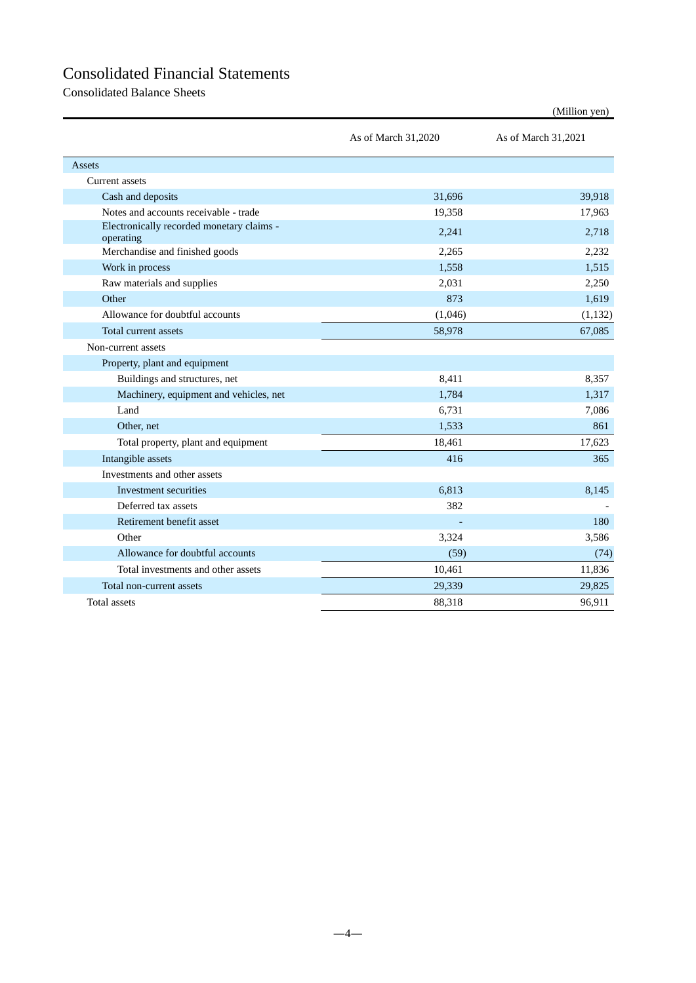# Consolidated Financial Statements

Consolidated Balance Sheets

|                                                        | As of March 31,2020 | As of March 31,2021 |
|--------------------------------------------------------|---------------------|---------------------|
| Assets                                                 |                     |                     |
| Current assets                                         |                     |                     |
| Cash and deposits                                      | 31,696              | 39,918              |
| Notes and accounts receivable - trade                  | 19,358              | 17,963              |
| Electronically recorded monetary claims -<br>operating | 2,241               | 2,718               |
| Merchandise and finished goods                         | 2,265               | 2,232               |
| Work in process                                        | 1,558               | 1.515               |
| Raw materials and supplies                             | 2,031               | 2,250               |
| Other                                                  | 873                 | 1,619               |
| Allowance for doubtful accounts                        | (1,046)             | (1, 132)            |
| Total current assets                                   | 58,978              | 67,085              |
| Non-current assets                                     |                     |                     |
| Property, plant and equipment                          |                     |                     |
| Buildings and structures, net                          | 8,411               | 8,357               |
| Machinery, equipment and vehicles, net                 | 1,784               | 1,317               |
| Land                                                   | 6,731               | 7,086               |
| Other, net                                             | 1,533               | 861                 |
| Total property, plant and equipment                    | 18,461              | 17,623              |
| Intangible assets                                      | 416                 | 365                 |
| Investments and other assets                           |                     |                     |
| Investment securities                                  | 6,813               | 8,145               |
| Deferred tax assets                                    | 382                 |                     |
| Retirement benefit asset                               |                     | 180                 |
| Other                                                  | 3,324               | 3,586               |
| Allowance for doubtful accounts                        | (59)                | (74)                |
| Total investments and other assets                     | 10,461              | 11,836              |
| Total non-current assets                               | 29,339              | 29,825              |
| Total assets                                           | 88,318              | 96,911              |

(Million yen)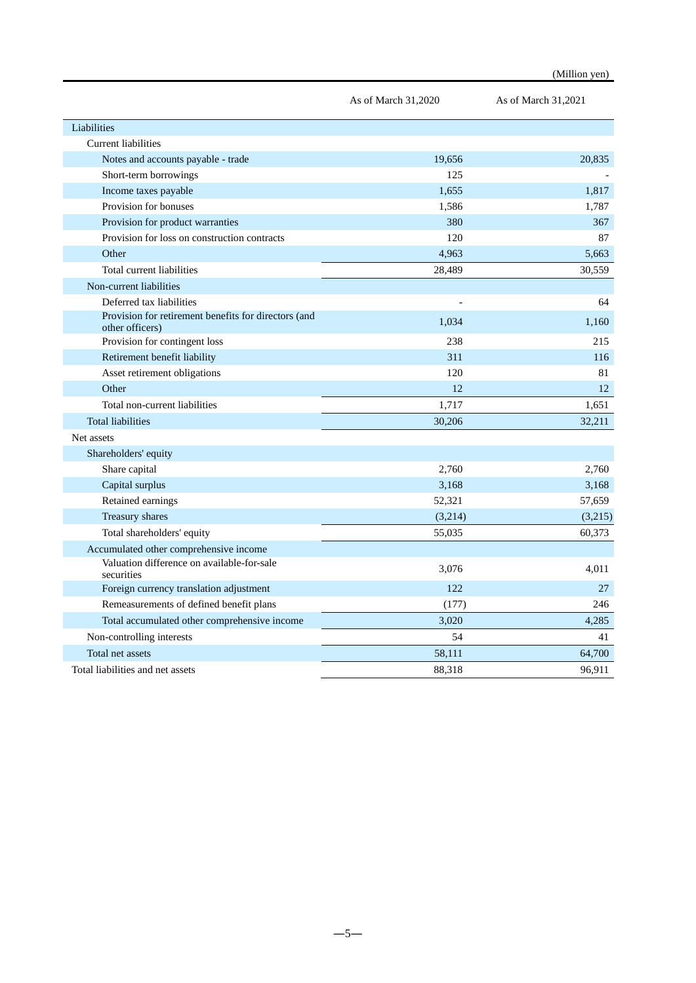|                                                                         | As of March 31,2020 | As of March 31,2021 |
|-------------------------------------------------------------------------|---------------------|---------------------|
| Liabilities                                                             |                     |                     |
| <b>Current liabilities</b>                                              |                     |                     |
| Notes and accounts payable - trade                                      | 19,656              | 20,835              |
| Short-term borrowings                                                   | 125                 |                     |
| Income taxes payable                                                    | 1.655               | 1.817               |
| Provision for bonuses                                                   | 1,586               | 1,787               |
| Provision for product warranties                                        | 380                 | 367                 |
| Provision for loss on construction contracts                            | 120                 | 87                  |
| Other                                                                   | 4,963               | 5,663               |
| Total current liabilities                                               | 28,489              | 30,559              |
| Non-current liabilities                                                 |                     |                     |
| Deferred tax liabilities                                                |                     | 64                  |
| Provision for retirement benefits for directors (and<br>other officers) | 1,034               | 1,160               |
| Provision for contingent loss                                           | 238                 | 215                 |
| Retirement benefit liability                                            | 311                 | 116                 |
| Asset retirement obligations                                            | 120                 | 81                  |
| Other                                                                   | 12                  | 12                  |
| Total non-current liabilities                                           | 1,717               | 1,651               |
| <b>Total liabilities</b>                                                | 30,206              | 32,211              |
| Net assets                                                              |                     |                     |
| Shareholders' equity                                                    |                     |                     |
| Share capital                                                           | 2,760               | 2.760               |
| Capital surplus                                                         | 3,168               | 3,168               |
| Retained earnings                                                       | 52,321              | 57,659              |
| Treasury shares                                                         | (3,214)             | (3,215)             |
| Total shareholders' equity                                              | 55,035              | 60,373              |
| Accumulated other comprehensive income                                  |                     |                     |
| Valuation difference on available-for-sale<br>securities                | 3,076               | 4,011               |
| Foreign currency translation adjustment                                 | 122                 | 27                  |
| Remeasurements of defined benefit plans                                 | (177)               | 246                 |
| Total accumulated other comprehensive income                            | 3,020               | 4,285               |
| Non-controlling interests                                               | 54                  | 41                  |
| Total net assets                                                        | 58,111              | 64,700              |
| Total liabilities and net assets                                        | 88,318              | 96,911              |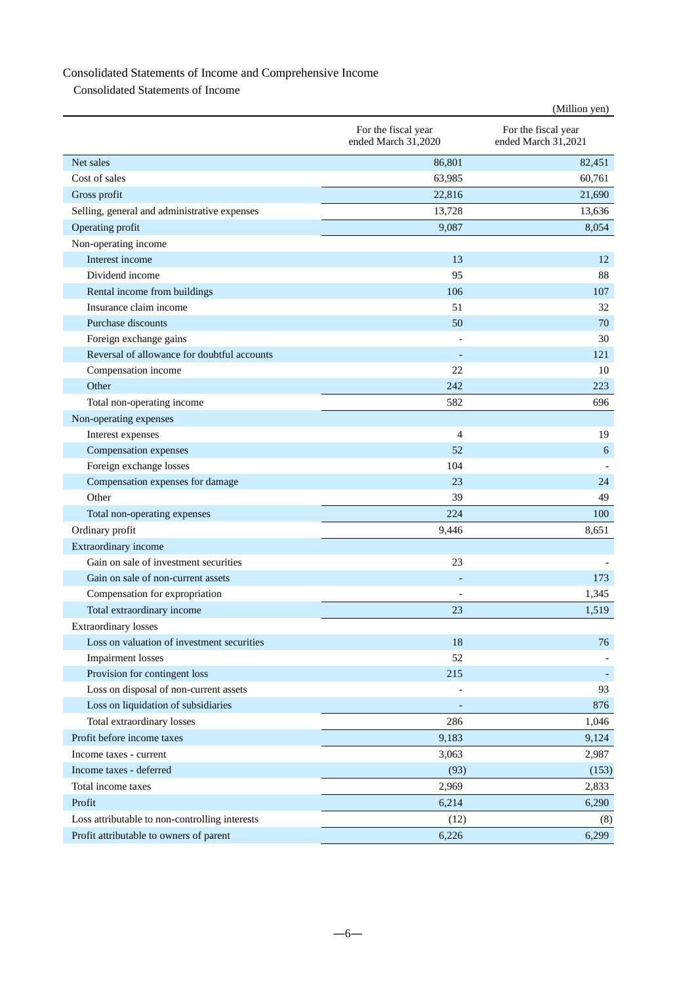# Consolidated Statements of Income and Comprehensive Income

Consolidated Statements of Income

|                                                |                                            | (Million yen)                              |
|------------------------------------------------|--------------------------------------------|--------------------------------------------|
|                                                | For the fiscal year<br>ended March 31,2020 | For the fiscal year<br>ended March 31,2021 |
| Net sales                                      | 86,801                                     | 82,451                                     |
| Cost of sales                                  | 63,985                                     | 60.761                                     |
| Gross profit                                   | 22,816                                     | 21,690                                     |
| Selling, general and administrative expenses   | 13,728                                     | 13,636                                     |
| Operating profit                               | 9,087                                      | 8,054                                      |
| Non-operating income                           |                                            |                                            |
| Interest income                                | 13                                         | 12                                         |
| Dividend income                                | 95                                         | 88                                         |
| Rental income from buildings                   | 106                                        | 107                                        |
| Insurance claim income                         | 51                                         | 32                                         |
| Purchase discounts                             | 50                                         | 70                                         |
| Foreign exchange gains                         |                                            | 30                                         |
| Reversal of allowance for doubtful accounts    |                                            | 121                                        |
| Compensation income                            | 22                                         | 10                                         |
| Other                                          | 242                                        | 223                                        |
| Total non-operating income                     | 582                                        | 696                                        |
| Non-operating expenses                         |                                            |                                            |
| Interest expenses                              | 4                                          | 19                                         |
| Compensation expenses                          | 52                                         | 6                                          |
| Foreign exchange losses                        | 104                                        |                                            |
| Compensation expenses for damage               | 23                                         | 24                                         |
| Other                                          | 39                                         | 49                                         |
| Total non-operating expenses                   | 224                                        | 100                                        |
| Ordinary profit                                | 9,446                                      | 8,651                                      |
| Extraordinary income                           |                                            |                                            |
| Gain on sale of investment securities          | 23                                         |                                            |
| Gain on sale of non-current assets             |                                            | 173                                        |
| Compensation for expropriation                 |                                            | 1,345                                      |
| Total extraordinary income                     | 23                                         | 1,519                                      |
| <b>Extraordinary losses</b>                    |                                            |                                            |
| Loss on valuation of investment securities     | 18                                         | 76                                         |
| <b>Impairment</b> losses                       | 52                                         |                                            |
| Provision for contingent loss                  | 215                                        |                                            |
| Loss on disposal of non-current assets         |                                            | 93                                         |
| Loss on liquidation of subsidiaries            |                                            | 876                                        |
| Total extraordinary losses                     | 286                                        | 1,046                                      |
| Profit before income taxes                     | 9,183                                      | 9,124                                      |
| Income taxes - current                         | 3,063                                      | 2,987                                      |
| Income taxes - deferred                        | (93)                                       | (153)                                      |
| Total income taxes                             | 2,969                                      | 2,833                                      |
| Profit                                         | 6,214                                      | 6,290                                      |
| Loss attributable to non-controlling interests | (12)                                       | (8)                                        |
| Profit attributable to owners of parent        | 6,226                                      | 6,299                                      |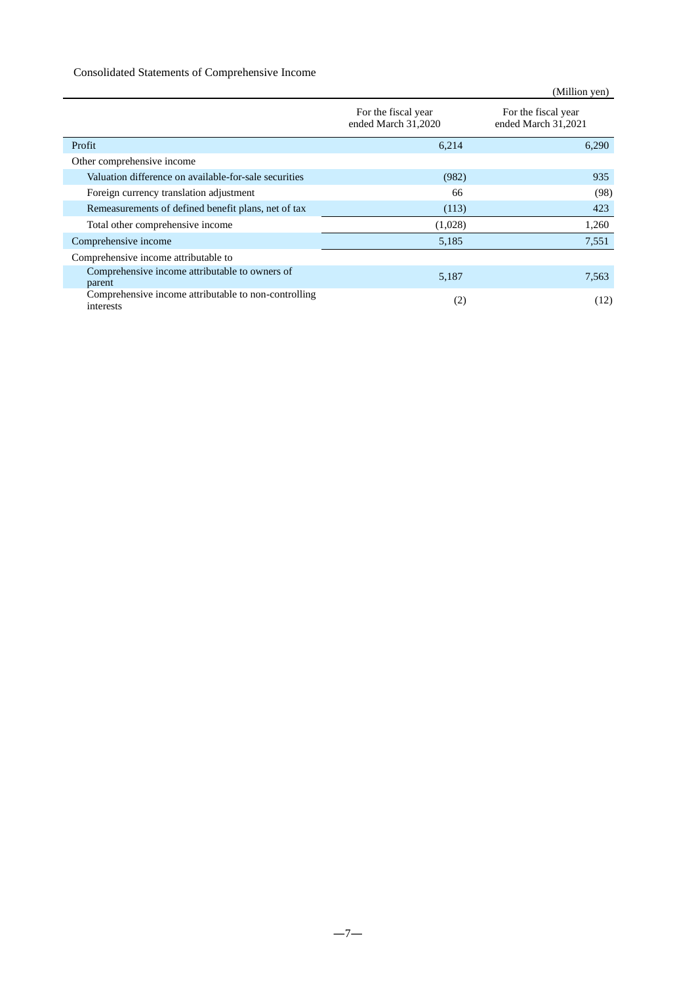### Consolidated Statements of Comprehensive Income

|                                                                   |                                            | (Million yen)                              |
|-------------------------------------------------------------------|--------------------------------------------|--------------------------------------------|
|                                                                   | For the fiscal year<br>ended March 31,2020 | For the fiscal year<br>ended March 31,2021 |
| Profit                                                            | 6,214                                      | 6,290                                      |
| Other comprehensive income                                        |                                            |                                            |
| Valuation difference on available-for-sale securities             | (982)                                      | 935                                        |
| Foreign currency translation adjustment                           | 66                                         | (98)                                       |
| Remeasurements of defined benefit plans, net of tax               | (113)                                      | 423                                        |
| Total other comprehensive income                                  | (1,028)                                    | 1,260                                      |
| Comprehensive income                                              | 5,185                                      | 7,551                                      |
| Comprehensive income attributable to                              |                                            |                                            |
| Comprehensive income attributable to owners of<br>parent          | 5,187                                      | 7,563                                      |
| Comprehensive income attributable to non-controlling<br>interests | (2)                                        | (12)                                       |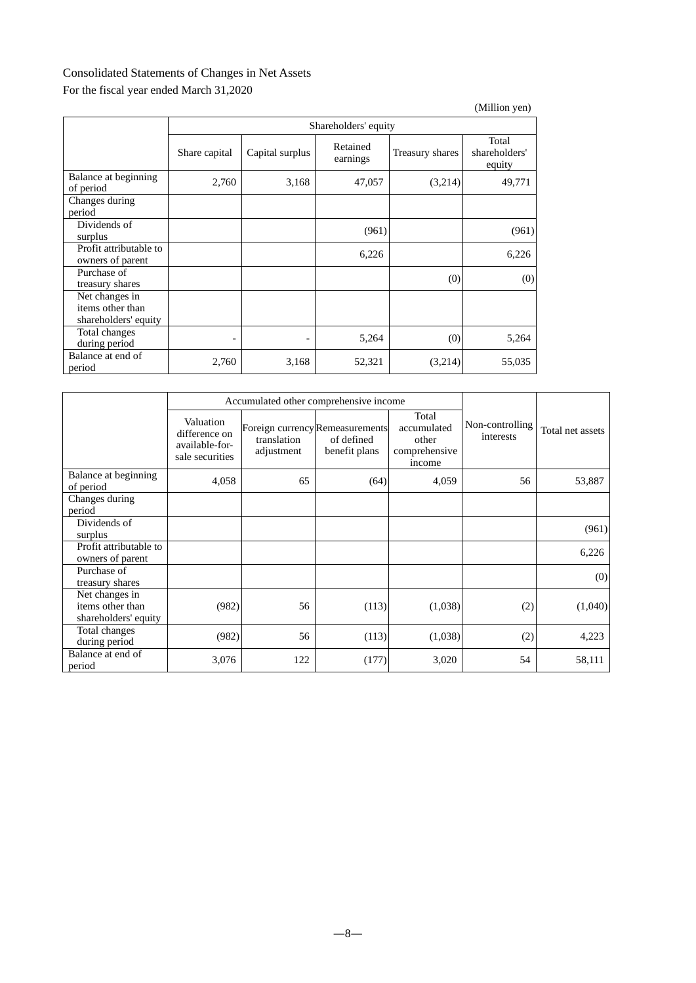## Consolidated Statements of Changes in Net Assets

## For the fiscal year ended March 31,2020

|                                                            |               |                          |                      |                 | (Million yen)                    |  |  |  |
|------------------------------------------------------------|---------------|--------------------------|----------------------|-----------------|----------------------------------|--|--|--|
|                                                            |               | Shareholders' equity     |                      |                 |                                  |  |  |  |
|                                                            | Share capital | Capital surplus          | Retained<br>earnings | Treasury shares | Total<br>shareholders'<br>equity |  |  |  |
| Balance at beginning<br>of period                          | 2,760         | 3,168                    | 47,057               | (3,214)         | 49,771                           |  |  |  |
| Changes during<br>period                                   |               |                          |                      |                 |                                  |  |  |  |
| Dividends of<br>surplus                                    |               |                          | (961)                |                 | (961)                            |  |  |  |
| Profit attributable to<br>owners of parent                 |               |                          | 6,226                |                 | 6,226                            |  |  |  |
| Purchase of<br>treasury shares                             |               |                          |                      | (0)             | (0)                              |  |  |  |
| Net changes in<br>items other than<br>shareholders' equity |               |                          |                      |                 |                                  |  |  |  |
| Total changes<br>during period                             |               | $\overline{\phantom{a}}$ | 5,264                | (0)             | 5,264                            |  |  |  |
| Balance at end of<br>period                                | 2,760         | 3,168                    | 52,321               | (3,214)         | 55,035                           |  |  |  |

|                                                            |                                                                 |                           | Accumulated other comprehensive income                         |                                                          |                              |                  |
|------------------------------------------------------------|-----------------------------------------------------------------|---------------------------|----------------------------------------------------------------|----------------------------------------------------------|------------------------------|------------------|
|                                                            | Valuation<br>difference on<br>available-for-<br>sale securities | translation<br>adjustment | Foreign currency Remeasurements<br>of defined<br>benefit plans | Total<br>accumulated<br>other<br>comprehensive<br>income | Non-controlling<br>interests | Total net assets |
| Balance at beginning<br>of period                          | 4,058                                                           | 65                        | (64)                                                           | 4,059                                                    | 56                           | 53,887           |
| Changes during<br>period                                   |                                                                 |                           |                                                                |                                                          |                              |                  |
| Dividends of<br>surplus                                    |                                                                 |                           |                                                                |                                                          |                              | (961)            |
| Profit attributable to<br>owners of parent                 |                                                                 |                           |                                                                |                                                          |                              | 6,226            |
| Purchase of<br>treasury shares                             |                                                                 |                           |                                                                |                                                          |                              | (0)              |
| Net changes in<br>items other than<br>shareholders' equity | (982)                                                           | 56                        | (113)                                                          | (1,038)                                                  | (2)                          | (1,040)          |
| Total changes<br>during period                             | (982)                                                           | 56                        | (113)                                                          | (1,038)                                                  | (2)                          | 4,223            |
| Balance at end of<br>period                                | 3,076                                                           | 122                       | (177)                                                          | 3,020                                                    | 54                           | 58,111           |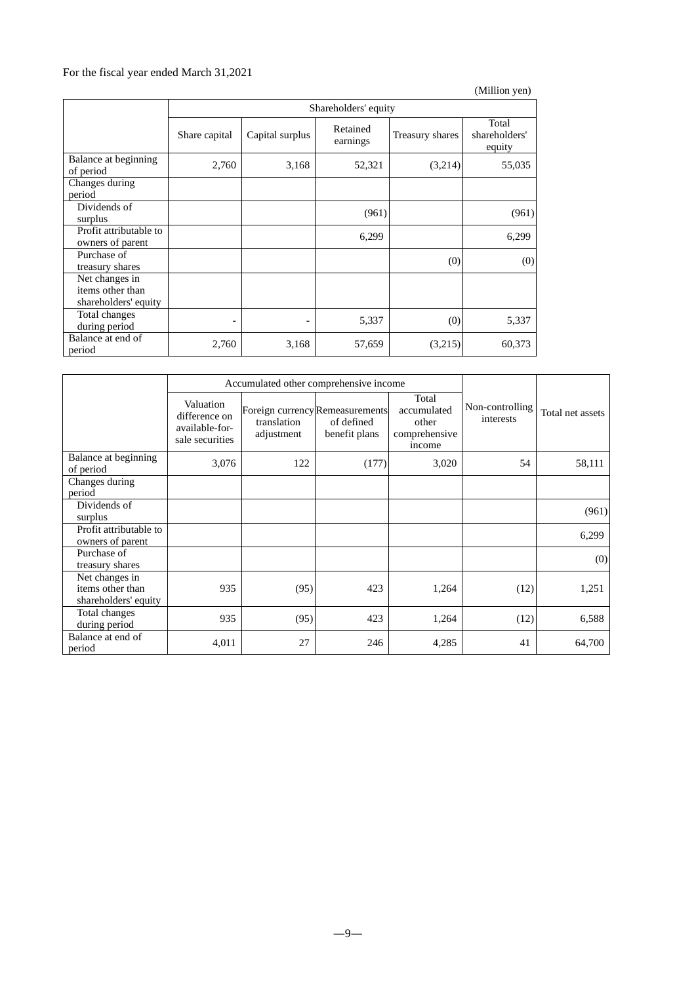## For the fiscal year ended March 31,2021

|                                                            |                          |                      |                      |                 | (Million yen)                    |  |  |
|------------------------------------------------------------|--------------------------|----------------------|----------------------|-----------------|----------------------------------|--|--|
|                                                            |                          | Shareholders' equity |                      |                 |                                  |  |  |
|                                                            | Share capital            | Capital surplus      | Retained<br>earnings | Treasury shares | Total<br>shareholders'<br>equity |  |  |
| Balance at beginning<br>of period                          | 2,760                    | 3,168                | 52,321               | (3,214)         | 55,035                           |  |  |
| Changes during<br>period                                   |                          |                      |                      |                 |                                  |  |  |
| Dividends of<br>surplus                                    |                          |                      | (961)                |                 | (961)                            |  |  |
| Profit attributable to<br>owners of parent                 |                          |                      | 6,299                |                 | 6,299                            |  |  |
| Purchase of<br>treasury shares                             |                          |                      |                      | (0)             | (0)                              |  |  |
| Net changes in<br>items other than<br>shareholders' equity |                          |                      |                      |                 |                                  |  |  |
| Total changes<br>during period                             | $\overline{\phantom{a}}$ | ٠                    | 5,337                | (0)             | 5,337                            |  |  |
| Balance at end of<br>period                                | 2,760                    | 3,168                | 57,659               | (3,215)         | 60,373                           |  |  |

|                                                            |                                                                 | Accumulated other comprehensive income |                                                                |                                                          |                              |                  |
|------------------------------------------------------------|-----------------------------------------------------------------|----------------------------------------|----------------------------------------------------------------|----------------------------------------------------------|------------------------------|------------------|
|                                                            | Valuation<br>difference on<br>available-for-<br>sale securities | translation<br>adjustment              | Foreign currency Remeasurements<br>of defined<br>benefit plans | Total<br>accumulated<br>other<br>comprehensive<br>income | Non-controlling<br>interests | Total net assets |
| Balance at beginning<br>of period                          | 3,076                                                           | 122                                    | (177)                                                          | 3,020                                                    | 54                           | 58,111           |
| Changes during<br>period                                   |                                                                 |                                        |                                                                |                                                          |                              |                  |
| Dividends of<br>surplus                                    |                                                                 |                                        |                                                                |                                                          |                              | (961)            |
| Profit attributable to<br>owners of parent                 |                                                                 |                                        |                                                                |                                                          |                              | 6,299            |
| Purchase of<br>treasury shares                             |                                                                 |                                        |                                                                |                                                          |                              | (0)              |
| Net changes in<br>items other than<br>shareholders' equity | 935                                                             | (95)                                   | 423                                                            | 1,264                                                    | (12)                         | 1,251            |
| Total changes<br>during period                             | 935                                                             | (95)                                   | 423                                                            | 1,264                                                    | (12)                         | 6,588            |
| Balance at end of<br>period                                | 4,011                                                           | 27                                     | 246                                                            | 4,285                                                    | 41                           | 64,700           |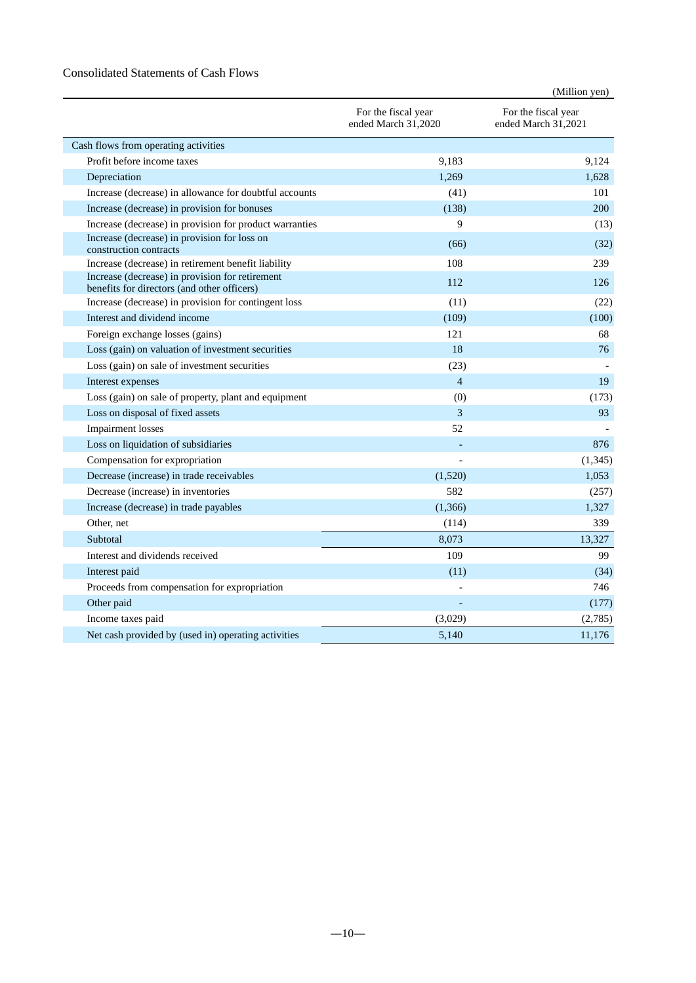### Consolidated Statements of Cash Flows

|                                                                                                |                                            | (Million yen)                              |
|------------------------------------------------------------------------------------------------|--------------------------------------------|--------------------------------------------|
|                                                                                                | For the fiscal year<br>ended March 31,2020 | For the fiscal year<br>ended March 31,2021 |
| Cash flows from operating activities                                                           |                                            |                                            |
| Profit before income taxes                                                                     | 9,183                                      | 9,124                                      |
| Depreciation                                                                                   | 1.269                                      | 1,628                                      |
| Increase (decrease) in allowance for doubtful accounts                                         | (41)                                       | 101                                        |
| Increase (decrease) in provision for bonuses                                                   | (138)                                      | 200                                        |
| Increase (decrease) in provision for product warranties                                        | $\mathbf Q$                                | (13)                                       |
| Increase (decrease) in provision for loss on<br>construction contracts                         | (66)                                       | (32)                                       |
| Increase (decrease) in retirement benefit liability                                            | 108                                        | 239                                        |
| Increase (decrease) in provision for retirement<br>benefits for directors (and other officers) | 112                                        | 126                                        |
| Increase (decrease) in provision for contingent loss                                           | (11)                                       | (22)                                       |
| Interest and dividend income                                                                   | (109)                                      | (100)                                      |
| Foreign exchange losses (gains)                                                                | 121                                        | 68                                         |
| Loss (gain) on valuation of investment securities                                              | 18                                         | 76                                         |
| Loss (gain) on sale of investment securities                                                   | (23)                                       |                                            |
| Interest expenses                                                                              | $\overline{4}$                             | 19                                         |
| Loss (gain) on sale of property, plant and equipment                                           | (0)                                        | (173)                                      |
| Loss on disposal of fixed assets                                                               | 3                                          | 93                                         |
| <b>Impairment</b> losses                                                                       | 52                                         |                                            |
| Loss on liquidation of subsidiaries                                                            |                                            | 876                                        |
| Compensation for expropriation                                                                 |                                            | (1, 345)                                   |
| Decrease (increase) in trade receivables                                                       | (1,520)                                    | 1.053                                      |
| Decrease (increase) in inventories                                                             | 582                                        | (257)                                      |
| Increase (decrease) in trade payables                                                          | (1,366)                                    | 1,327                                      |
| Other, net                                                                                     | (114)                                      | 339                                        |
| Subtotal                                                                                       | 8,073                                      | 13,327                                     |
| Interest and dividends received                                                                | 109                                        | 99                                         |
| Interest paid                                                                                  | (11)                                       | (34)                                       |
| Proceeds from compensation for expropriation                                                   |                                            | 746                                        |
| Other paid                                                                                     |                                            | (177)                                      |
| Income taxes paid                                                                              | (3,029)                                    | (2,785)                                    |
| Net cash provided by (used in) operating activities                                            | 5,140                                      | 11,176                                     |